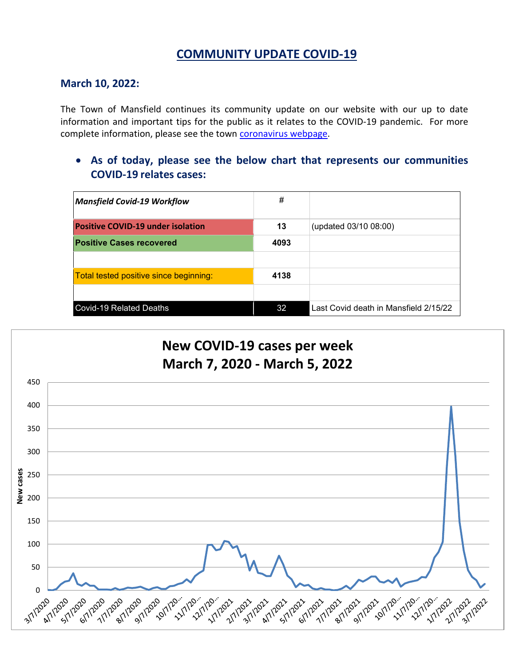# **COMMUNITY UPDATE COVID-19**

### **March 10, 2022:**

The Town of Mansfield continues its community update on our website with our up to date information and important tips for the public as it relates to the COVID-19 pandemic. For more complete information, please see the town [coronavirus webpage.](https://www.mansfieldma.com/536/Coronavirus-Information)

• **As of today, please see the below chart that represents our communities COVID-19 relates cases:**

| <b>Mansfield Covid-19 Workflow</b>       | #    |                                       |
|------------------------------------------|------|---------------------------------------|
| <b>Positive COVID-19 under isolation</b> | 13   | (updated 03/10 08:00)                 |
| <b>Positive Cases recovered</b>          | 4093 |                                       |
|                                          |      |                                       |
| Total tested positive since beginning:   | 4138 |                                       |
|                                          |      |                                       |
| <b>Covid-19 Related Deaths</b>           | 32   | Last Covid death in Mansfield 2/15/22 |

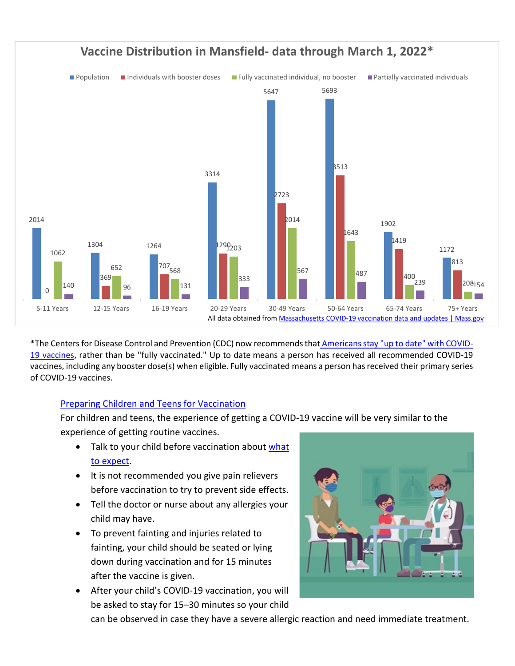

\*The Centers for Disease Control and Prevention (CDC) now recommends that [Americansstay "up to date" with COVID-](https://www.cdc.gov/coronavirus/2019-ncov/vaccines/stay-up-to-date.html)[19 vaccines,](https://www.cdc.gov/coronavirus/2019-ncov/vaccines/stay-up-to-date.html) rather than be "fully vaccinated." Up to date means a person has received all recommended COVID-19 vaccines, including any booster dose(s) when eligible. Fully vaccinated means a person has received their primary series of COVID-19 vaccines.

#### [Preparing Children and Teens for Vaccination](https://www.cdc.gov/coronavirus/2019-ncov/vaccines/recommendations/children-teens.html)

For children and teens, the experience of getting a COVID-19 vaccine will be very similar to the experience of getting routine vaccines.

- Talk to your child before vaccination about what [to expect.](https://protect-us.mimecast.com/s/hPg_C68Gpvs9qJNTB80It?domain=t.emailupdates.cdc.gov)
- It is not recommended you give pain relievers before vaccination to try to prevent side effects.
- Tell the doctor or nurse about any allergies your child may have.
- To prevent fainting and injuries related to fainting, your child should be seated or lying down during vaccination and for 15 minutes after the vaccine is given.
- After your child's COVID-19 vaccination, you will be asked to stay for 15–30 minutes so your child



can be observed in case they have a severe allergic reaction and need immediate treatment.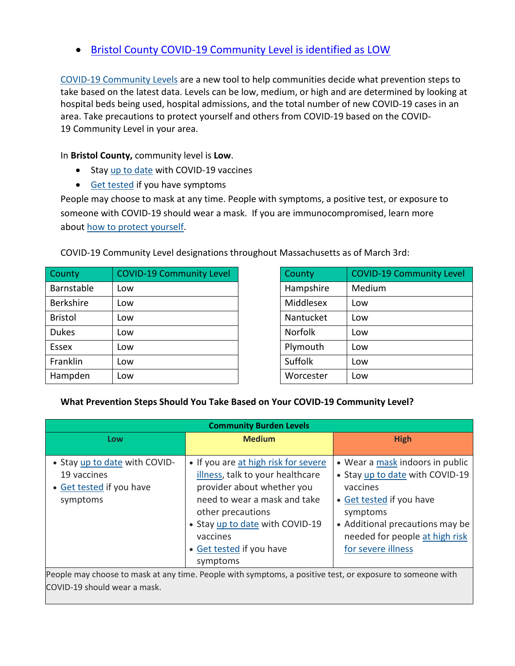• [Bristol County COVID-19 Community Level is identified as LOW](https://www.cdc.gov/coronavirus/2019-ncov/your-health/covid-by-county.html?ACSTrackingID=USCDC_2145-DM76655&ACSTrackingLabel=02.25.2022%20-%20COVID-19%20Data%20Tracker%20Weekly%20Review&deliveryName=USCDC_2145-DM76655)

[COVID-19 Community Levels](https://www.cdc.gov/coronavirus/2019-ncov/science/community-levels.html) are a new tool to help communities decide what prevention steps to take based on the latest data. Levels can be low, medium, or high and are determined by looking at hospital beds being used, hospital admissions, and the total number of new COVID-19 cases in an area. Take precautions to protect yourself and others from COVID-19 based on the COVID-19 Community Level in your area.

In **Bristol County,** community level is **Low**.

- Stay [up to date](https://www.cdc.gov/coronavirus/2019-ncov/vaccines/stay-up-to-date.html) with COVID-19 vaccines
- [Get tested](https://www.cdc.gov/coronavirus/2019-ncov/testing/diagnostic-testing.html) if you have symptoms

People may choose to mask at any time. People with symptoms, a positive test, or exposure to someone with COVID-19 should wear a mask. If you are immunocompromised, learn more about [how to protect yourself.](https://www.cdc.gov/coronavirus/2019-ncov/science/community-levels.html#anchor_47145)

COVID-19 Community Level designations throughout Massachusetts as of March 3rd:

| County           | <b>COVID-19 Community Level</b> | County         | <b>COVID-19 Community Level</b> |
|------------------|---------------------------------|----------------|---------------------------------|
| Barnstable       | Low                             | Hampshire      | Medium                          |
| <b>Berkshire</b> | Low                             | Middlesex      | Low                             |
| <b>Bristol</b>   | Low                             | Nantucket      | Low                             |
| <b>Dukes</b>     | Low                             | <b>Norfolk</b> | Low                             |
| Essex            | Low                             | Plymouth       | Low                             |
| Franklin         | Low                             | Suffolk        | Low                             |
| Hampden          | Low                             | Worcester      | Low                             |

| County         | <b>COVID-19 Community Level</b> |
|----------------|---------------------------------|
| Hampshire      | Medium                          |
| Middlesex      | Low                             |
| Nantucket      | Low                             |
| <b>Norfolk</b> | Low                             |
| Plymouth       | Low                             |
| Suffolk        | Low                             |
| Worcester      | Low                             |

#### **What Prevention Steps Should You Take Based on Your COVID-19 Community Level?**

| <b>Community Burden Levels</b>                                                                            |                                                                                                                                                                                                                                                    |                                                                                                                                                                                                                   |  |  |  |
|-----------------------------------------------------------------------------------------------------------|----------------------------------------------------------------------------------------------------------------------------------------------------------------------------------------------------------------------------------------------------|-------------------------------------------------------------------------------------------------------------------------------------------------------------------------------------------------------------------|--|--|--|
| Low                                                                                                       | <b>Medium</b>                                                                                                                                                                                                                                      | <b>High</b>                                                                                                                                                                                                       |  |  |  |
| • Stay up to date with COVID-<br>19 vaccines<br>• Get tested if you have<br>symptoms                      | • If you are at high risk for severe<br>illness, talk to your healthcare<br>provider about whether you<br>need to wear a mask and take<br>other precautions<br>• Stay up to date with COVID-19<br>vaccines<br>• Get tested if you have<br>symptoms | • Wear a mask indoors in public<br>• Stay up to date with COVID-19<br>vaccines<br>• Get tested if you have<br>symptoms<br>• Additional precautions may be<br>needed for people at high risk<br>for severe illness |  |  |  |
| People may choose to mask at any time. People with symptoms, a positive test, or exposure to someone with |                                                                                                                                                                                                                                                    |                                                                                                                                                                                                                   |  |  |  |

COVID-19 should wear a mask.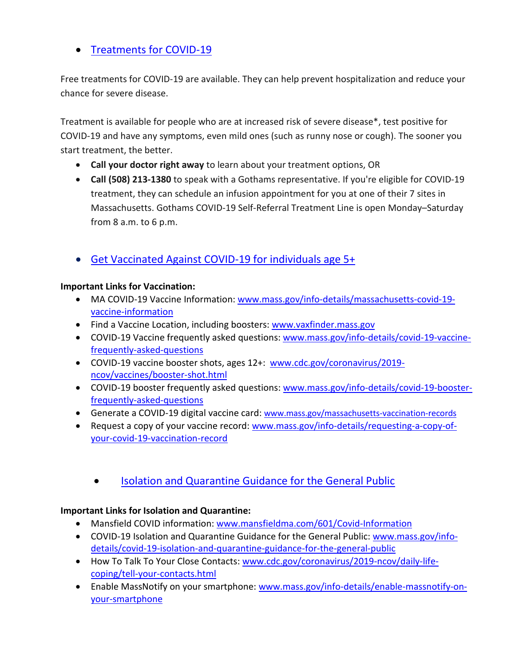## • [Treatments for COVID-19](https://www.mass.gov/info-details/treatments-for-covid-19)

Free treatments for COVID-19 are available. They can help prevent hospitalization and reduce your chance for severe disease.

Treatment is available for people who are at increased risk of severe disease\*, test positive for COVID-19 and have any symptoms, even mild ones (such as runny nose or cough). The sooner you start treatment, the better.

- **Call your doctor right away** to learn about your treatment options, OR
- **Call (508) 213-1380** to speak with a Gothams representative. If you're eligible for COVID-19 treatment, they can schedule an infusion appointment for you at one of their 7 sites in Massachusetts. Gothams COVID-19 Self-Referral Treatment Line is open Monday–Saturday from 8 a.m. to 6 p.m.
- [Get Vaccinated Against COVID-19](https://www.mass.gov/covid-19-vaccine) for individuals age 5+

#### **Important Links for Vaccination:**

- MA COVID-19 Vaccine Information: [www.mass.gov/info-details/massachusetts-covid-19](http://www.mass.gov/info-details/massachusetts-covid-19-vaccine-information) [vaccine-information](http://www.mass.gov/info-details/massachusetts-covid-19-vaccine-information)
- Find a Vaccine Location, including boosters: [www.vaxfinder.mass.gov](http://www.vaxfinder.mass.gov/)
- COVID-19 Vaccine frequently asked questions: [www.mass.gov/info-details/covid-19-vaccine](http://www.mass.gov/info-details/covid-19-vaccine-frequently-asked-questions)[frequently-asked-questions](http://www.mass.gov/info-details/covid-19-vaccine-frequently-asked-questions)
- COVID-19 vaccine booster shots, ages 12+: [www.cdc.gov/coronavirus/2019](http://www.cdc.gov/coronavirus/2019-ncov/vaccines/booster-shot.html) [ncov/vaccines/booster-shot.html](http://www.cdc.gov/coronavirus/2019-ncov/vaccines/booster-shot.html)
- COVID-19 booster frequently asked questions: [www.mass.gov/info-details/covid-19-booster](http://www.mass.gov/info-details/covid-19-booster-frequently-asked-questions)[frequently-asked-questions](http://www.mass.gov/info-details/covid-19-booster-frequently-asked-questions)
- Generate a COVID-19 digital vaccine card: [www.mass.gov/massachusetts-vaccination-records](http://www.mass.gov/massachusetts-vaccination-records)
- Request a copy of your vaccine record: [www.mass.gov/info-details/requesting-a-copy-of](http://www.mass.gov/info-details/requesting-a-copy-of-your-covid-19-vaccination-record)[your-covid-19-vaccination-record](http://www.mass.gov/info-details/requesting-a-copy-of-your-covid-19-vaccination-record)
	- [Isolation and Quarantine Guidance for the General Public](https://www.mass.gov/info-details/isolation-and-quarantine-guidance-for-the-general-public)

## **Important Links for Isolation and Quarantine:**

- Mansfield COVID information: [www.mansfieldma.com/601/Covid-Information](http://www.mansfieldma.com/601/Covid-Information)
- COVID-19 Isolation and Quarantine Guidance for the General Public: [www.mass.gov/info](http://www.mass.gov/info-details/covid-19-isolation-and-quarantine-guidance-for-the-general-public)[details/covid-19-isolation-and-quarantine-guidance-for-the-general-public](http://www.mass.gov/info-details/covid-19-isolation-and-quarantine-guidance-for-the-general-public)
- How To Talk To Your Close Contacts: [www.cdc.gov/coronavirus/2019-ncov/daily-life](http://www.cdc.gov/coronavirus/2019-ncov/daily-life-coping/tell-your-contacts.html)[coping/tell-your-contacts.html](http://www.cdc.gov/coronavirus/2019-ncov/daily-life-coping/tell-your-contacts.html)
- Enable MassNotify on your smartphone: [www.mass.gov/info-details/enable-massnotify-on](http://www.mass.gov/info-details/enable-massnotify-on-your-smartphone)[your-smartphone](http://www.mass.gov/info-details/enable-massnotify-on-your-smartphone)